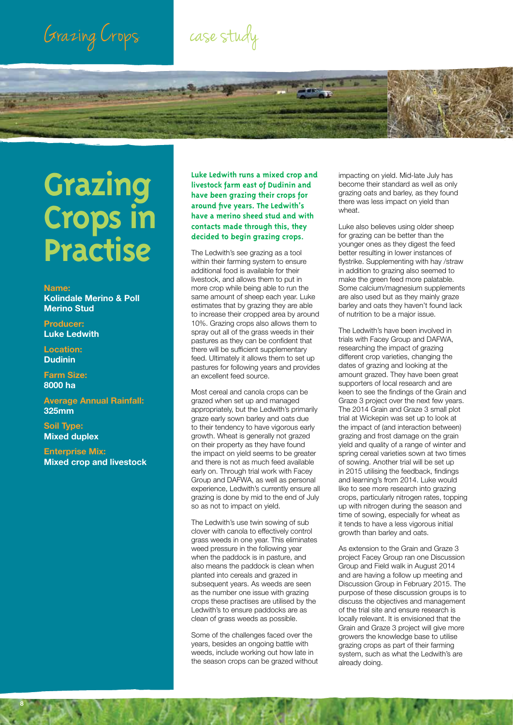## Grazing Crops



# **Grazing Crops in Practise**

#### **Name:**

**Kolindale Merino & Poll Merino Stud**

**Producer: Luke Ledwith**

**Location: Dudinin**

**Farm Size: 8000 ha**

**Average Annual Rainfall: 325mm**

**Soil Type: Mixed duplex**

**8**

**Enterprise Mix: Mixed crop and livestock** **Luke Ledwith runs a mixed crop and livestock farm east of Dudinin and have been grazing their crops for around five years. The Ledwith's have a merino sheed stud and with contacts made through this, they decided to begin grazing crops.** 

The Ledwith's see grazing as a tool within their farming system to ensure additional food is available for their livestock, and allows them to put in more crop while being able to run the same amount of sheep each year. Luke estimates that by grazing they are able to increase their cropped area by around 10%. Grazing crops also allows them to spray out all of the grass weeds in their pastures as they can be confident that there will be sufficient supplementary feed. Ultimately it allows them to set up pastures for following years and provides an excellent feed source.

Most cereal and canola crops can be grazed when set up and managed appropriately, but the Ledwith's primarily graze early sown barley and oats due to their tendency to have vigorous early growth. Wheat is generally not grazed on their property as they have found the impact on yield seems to be greater and there is not as much feed available early on. Through trial work with Facey Group and DAFWA, as well as personal experience, Ledwith's currently ensure all grazing is done by mid to the end of July so as not to impact on yield.

The Ledwith's use twin sowing of sub clover with canola to effectively control grass weeds in one year. This eliminates weed pressure in the following year when the paddock is in pasture, and also means the paddock is clean when planted into cereals and grazed in subsequent years. As weeds are seen as the number one issue with grazing crops these practises are utilised by the Ledwith's to ensure paddocks are as clean of grass weeds as possible.

Some of the challenges faced over the years, besides an ongoing battle with weeds, include working out how late in the season crops can be grazed without impacting on yield. Mid-late July has become their standard as well as only grazing oats and barley, as they found there was less impact on yield than wheat.

Luke also believes using older sheep for grazing can be better than the younger ones as they digest the feed better resulting in lower instances of flystrike. Supplementing with hay /straw in addition to grazing also seemed to make the green feed more palatable. Some calcium/magnesium supplements are also used but as they mainly graze barley and oats they haven't found lack of nutrition to be a major issue.

The Ledwith's have been involved in trials with Facey Group and DAFWA, researching the impact of grazing different crop varieties, changing the dates of grazing and looking at the amount grazed. They have been great supporters of local research and are keen to see the findings of the Grain and Graze 3 project over the next few years. The 2014 Grain and Graze 3 small plot trial at Wickepin was set up to look at the impact of (and interaction between) grazing and frost damage on the grain yield and quality of a range of winter and spring cereal varieties sown at two times of sowing. Another trial will be set up in 2015 utilising the feedback, findings and learning's from 2014. Luke would like to see more research into grazing crops, particularly nitrogen rates, topping up with nitrogen during the season and time of sowing, especially for wheat as it tends to have a less vigorous initial growth than barley and oats.

As extension to the Grain and Graze 3 project Facey Group ran one Discussion Group and Field walk in August 2014 and are having a follow up meeting and Discussion Group in February 2015. The purpose of these discussion groups is to discuss the objectives and management of the trial site and ensure research is locally relevant. It is envisioned that the Grain and Graze 3 project will give more growers the knowledge base to utilise grazing crops as part of their farming system, such as what the Ledwith's are already doing.